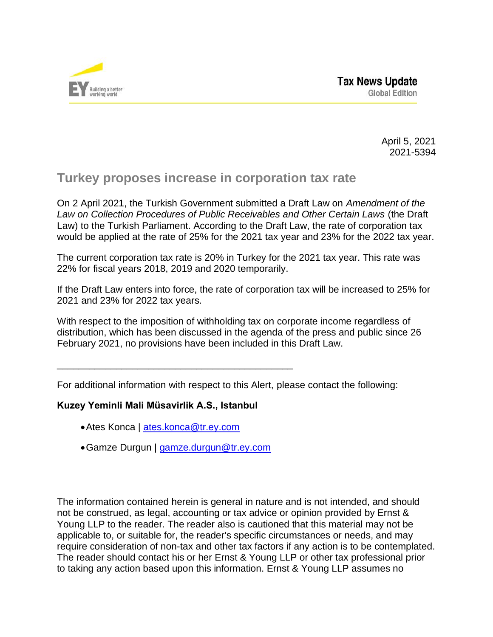

April 5, 2021 2021-5394

## **Turkey proposes increase in corporation tax rate**

On 2 April 2021, the Turkish Government submitted a Draft Law on *Amendment of the Law on Collection Procedures of Public Receivables and Other Certain Laws* (the Draft Law) to the Turkish Parliament. According to the Draft Law, the rate of corporation tax would be applied at the rate of 25% for the 2021 tax year and 23% for the 2022 tax year.

The current corporation tax rate is 20% in Turkey for the 2021 tax year. This rate was 22% for fiscal years 2018, 2019 and 2020 temporarily.

If the Draft Law enters into force, the rate of corporation tax will be increased to 25% for 2021 and 23% for 2022 tax years.

With respect to the imposition of withholding tax on corporate income regardless of distribution, which has been discussed in the agenda of the press and public since 26 February 2021, no provisions have been included in this Draft Law.

For additional information with respect to this Alert, please contact the following:

\_\_\_\_\_\_\_\_\_\_\_\_\_\_\_\_\_\_\_\_\_\_\_\_\_\_\_\_\_\_\_\_\_\_\_\_\_\_\_\_\_\_\_\_

## **Kuzey Yeminli Mali Müsavirlik A.S., Istanbul**

- •Ates Konca | [ates.konca@tr.ey.com](mailto:ates.konca@tr.ey.com)
- •Gamze Durgun | [gamze.durgun@tr.ey.com](mailto:gamze.durgun@tr.ey.com)

The information contained herein is general in nature and is not intended, and should not be construed, as legal, accounting or tax advice or opinion provided by Ernst & Young LLP to the reader. The reader also is cautioned that this material may not be applicable to, or suitable for, the reader's specific circumstances or needs, and may require consideration of non-tax and other tax factors if any action is to be contemplated. The reader should contact his or her Ernst & Young LLP or other tax professional prior to taking any action based upon this information. Ernst & Young LLP assumes no